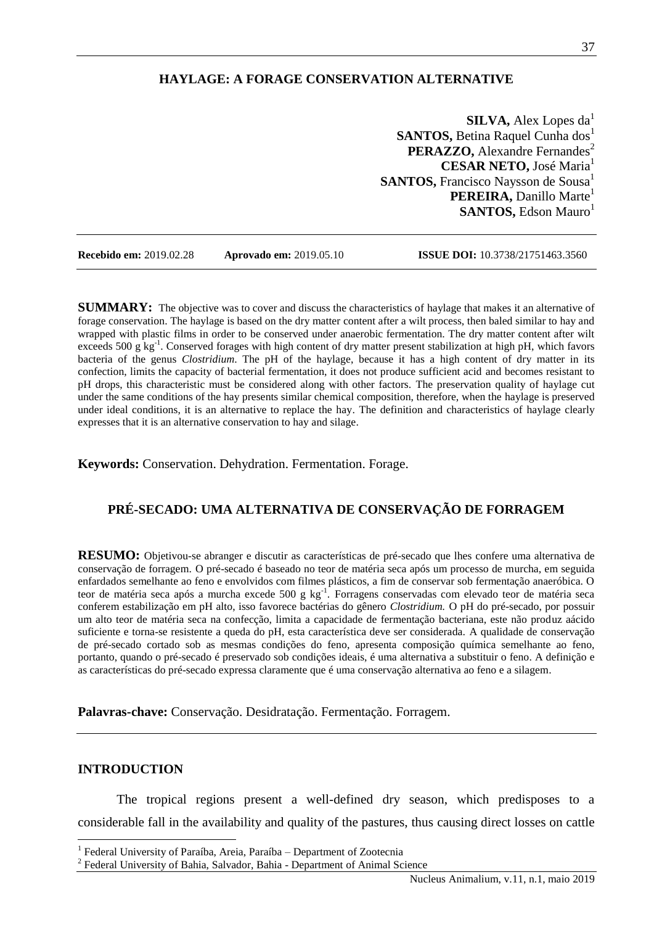## **HAYLAGE: A FORAGE CONSERVATION ALTERNATIVE**

**SILVA, Alex Lopes da<sup>1</sup> SANTOS, Betina Raquel Cunha dos**<sup>1</sup> **PERAZZO, Alexandre Fernandes<sup>2</sup> CESAR NETO, José Maria<sup>1</sup> SANTOS, Francisco Naysson de Sousa**<sup>1</sup> **PEREIRA, Danillo Marte<sup>1</sup> SANTOS, Edson Mauro**<sup>1</sup>

**Recebido em:** 2019.02.28 **Aprovado em:** 2019.05.10 **ISSUE DOI:** 10.3738/21751463.3560

**SUMMARY:** The objective was to cover and discuss the characteristics of haylage that makes it an alternative of forage conservation. The haylage is based on the dry matter content after a wilt process, then baled similar to hay and wrapped with plastic films in order to be conserved under anaerobic fermentation. The dry matter content after wilt exceeds 500 g kg<sup>-1</sup>. Conserved forages with high content of dry matter present stabilization at high pH, which favors bacteria of the genus *Clostridium*. The pH of the haylage, because it has a high content of dry matter in its confection, limits the capacity of bacterial fermentation, it does not produce sufficient acid and becomes resistant to pH drops, this characteristic must be considered along with other factors. The preservation quality of haylage cut under the same conditions of the hay presents similar chemical composition, therefore, when the haylage is preserved under ideal conditions, it is an alternative to replace the hay. The definition and characteristics of haylage clearly expresses that it is an alternative conservation to hay and silage.

**Keywords:** Conservation. Dehydration. Fermentation. Forage.

# **PRÉ-SECADO: UMA ALTERNATIVA DE CONSERVAÇÃO DE FORRAGEM**

**RESUMO:** Objetivou-se abranger e discutir as características de pré-secado que lhes confere uma alternativa de conservação de forragem. O pré-secado é baseado no teor de matéria seca após um processo de murcha, em seguida enfardados semelhante ao feno e envolvidos com filmes plásticos, a fim de conservar sob fermentação anaeróbica. O teor de matéria seca após a murcha excede 500 g kg<sup>-1</sup>. Forragens conservadas com elevado teor de matéria seca conferem estabilização em pH alto, isso favorece bactérias do gênero *Clostridium.* O pH do pré-secado, por possuir um alto teor de matéria seca na confecção, limita a capacidade de fermentação bacteriana, este não produz aácido suficiente e torna-se resistente a queda do pH, esta característica deve ser considerada. A qualidade de conservação de pré-secado cortado sob as mesmas condições do feno, apresenta composição química semelhante ao feno, portanto, quando o pré-secado é preservado sob condições ideais, é uma alternativa a substituir o feno. A definição e as características do pré-secado expressa claramente que é uma conservação alternativa ao feno e a silagem.

**Palavras-chave:** Conservação. Desidratação. Fermentação. Forragem.

#### **INTRODUCTION**

 $\overline{a}$ 

The tropical regions present a well-defined dry season, which predisposes to a considerable fall in the availability and quality of the pastures, thus causing direct losses on cattle

<sup>&</sup>lt;sup>1</sup> Federal University of Paraíba, Areia, Paraíba - Department of Zootecnia

<sup>&</sup>lt;sup>2</sup> Federal University of Bahia, Salvador, Bahia - Department of Animal Science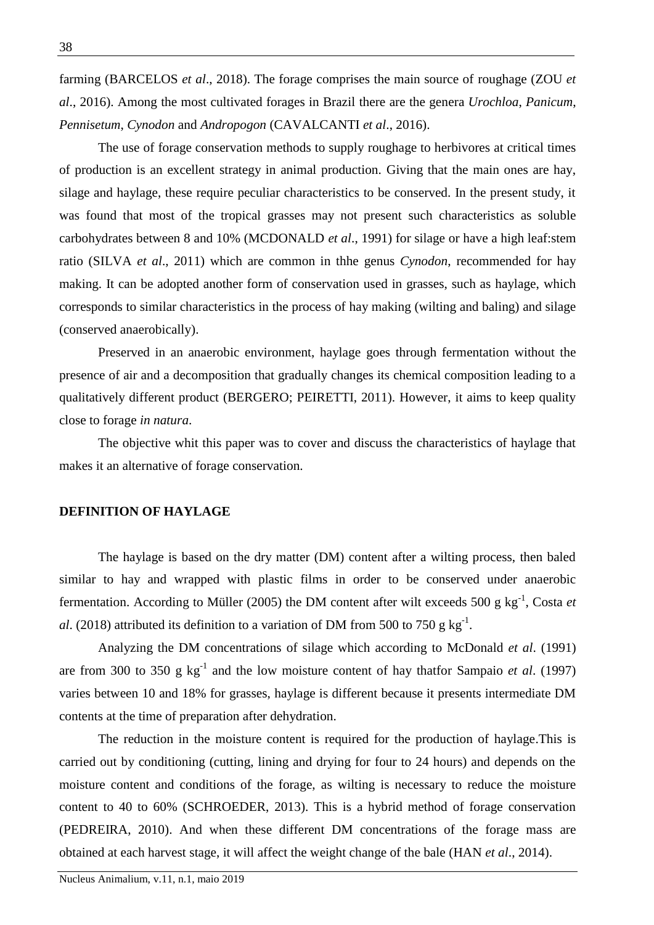farming (BARCELOS *et al*., 2018). The forage comprises the main source of roughage (ZOU *et al*., 2016). Among the most cultivated forages in Brazil there are the genera *Urochloa*, *Panicum*, *Pennisetum*, *Cynodon* and *Andropogon* (CAVALCANTI *et al*., 2016).

The use of forage conservation methods to supply roughage to herbivores at critical times of production is an excellent strategy in animal production. Giving that the main ones are hay, silage and haylage, these require peculiar characteristics to be conserved. In the present study, it was found that most of the tropical grasses may not present such characteristics as soluble carbohydrates between 8 and 10% (MCDONALD *et al*., 1991) for silage or have a high leaf:stem ratio (SILVA *et al*., 2011) which are common in thhe genus *Cynodon*, recommended for hay making. It can be adopted another form of conservation used in grasses, such as haylage, which corresponds to similar characteristics in the process of hay making (wilting and baling) and silage (conserved anaerobically).

Preserved in an anaerobic environment, haylage goes through fermentation without the presence of air and a decomposition that gradually changes its chemical composition leading to a qualitatively different product (BERGERO; PEIRETTI, 2011). However, it aims to keep quality close to forage *in natura*.

The objective whit this paper was to cover and discuss the characteristics of haylage that makes it an alternative of forage conservation.

### **DEFINITION OF HAYLAGE**

The haylage is based on the dry matter (DM) content after a wilting process, then baled similar to hay and wrapped with plastic films in order to be conserved under anaerobic fermentation. According to Müller (2005) the DM content after wilt exceeds 500 g kg<sup>-1</sup>, Costa et *al.* (2018) attributed its definition to a variation of DM from 500 to 750 g  $\text{kg}^{-1}$ .

Analyzing the DM concentrations of silage which according to McDonald *et al*. (1991) are from 300 to 350 g  $kg^{-1}$  and the low moisture content of hay thatfor Sampaio *et al.* (1997) varies between 10 and 18% for grasses, haylage is different because it presents intermediate DM contents at the time of preparation after dehydration.

The reduction in the moisture content is required for the production of haylage.This is carried out by conditioning (cutting, lining and drying for four to 24 hours) and depends on the moisture content and conditions of the forage, as wilting is necessary to reduce the moisture content to 40 to 60% (SCHROEDER, 2013). This is a hybrid method of forage conservation (PEDREIRA, 2010). And when these different DM concentrations of the forage mass are obtained at each harvest stage, it will affect the weight change of the bale (HAN *et al*., 2014).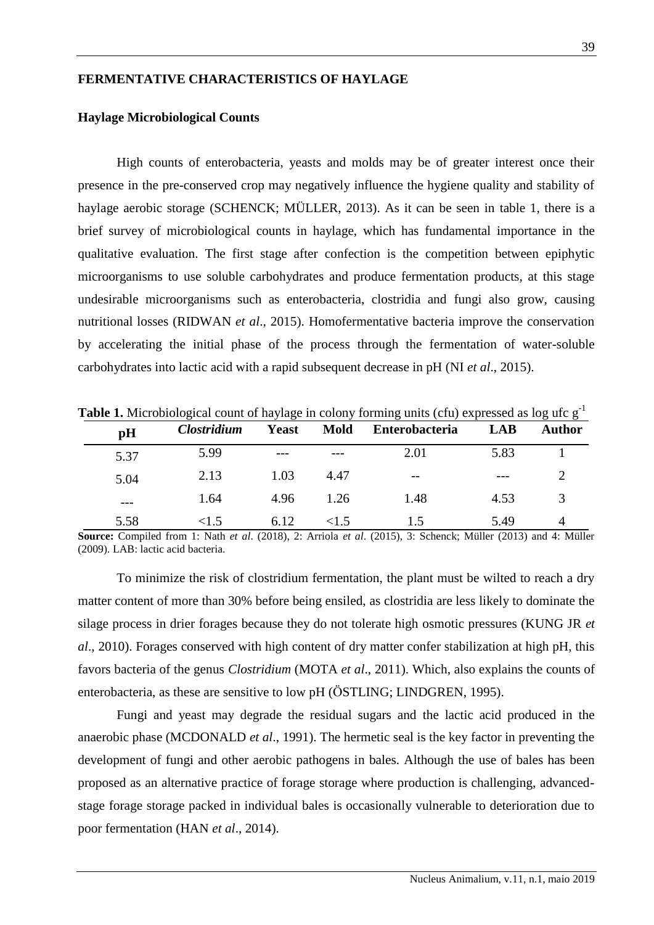## **FERMENTATIVE CHARACTERISTICS OF HAYLAGE**

### **Haylage Microbiological Counts**

High counts of enterobacteria, yeasts and molds may be of greater interest once their presence in the pre-conserved crop may negatively influence the hygiene quality and stability of haylage aerobic storage (SCHENCK; MÜLLER, 2013). As it can be seen in table 1, there is a brief survey of microbiological counts in haylage, which has fundamental importance in the qualitative evaluation. The first stage after confection is the competition between epiphytic microorganisms to use soluble carbohydrates and produce fermentation products, at this stage undesirable microorganisms such as enterobacteria, clostridia and fungi also grow, causing nutritional losses (RIDWAN *et al*., 2015). Homofermentative bacteria improve the conservation by accelerating the initial phase of the process through the fermentation of water-soluble carbohydrates into lactic acid with a rapid subsequent decrease in pH (NI *et al*., 2015).

| <b>Table 1.</b> MICRODIOIOgICal COUIL OF Haylage In COIOITY TOTHING thus (CTu) CAPICSSCU as 10g the g |                           |              |             |                       |      |               |  |  |
|-------------------------------------------------------------------------------------------------------|---------------------------|--------------|-------------|-----------------------|------|---------------|--|--|
| pH                                                                                                    | <i><b>Clostridium</b></i> | <b>Yeast</b> | <b>Mold</b> | <b>Enterobacteria</b> | LAB  | <b>Author</b> |  |  |
| 5.37                                                                                                  | 5.99                      | ---          |             | 2.01                  | 5.83 |               |  |  |
| 5.04                                                                                                  | 2.13                      | 1.03         | 4.47        | $- -$                 |      |               |  |  |
| $---$                                                                                                 | 1.64                      | 4.96         | 1.26        | 1.48                  | 4.53 |               |  |  |
| 5.58                                                                                                  | <1.5                      | 6.12         |             |                       | 5.49 | 4             |  |  |

**Table 1.** Microbiological count of haylage in colony forming units (cfu) expressed as log ufc g<sup>-1</sup>

**Source:** Compiled from 1: Nath *et al*. (2018), 2: Arriola *et al*. (2015), 3: Schenck; Müller (2013) and 4: Müller (2009). LAB: lactic acid bacteria.

To minimize the risk of clostridium fermentation, the plant must be wilted to reach a dry matter content of more than 30% before being ensiled, as clostridia are less likely to dominate the silage process in drier forages because they do not tolerate high osmotic pressures (KUNG JR *et al*., 2010). Forages conserved with high content of dry matter confer stabilization at high pH, this favors bacteria of the genus *Clostridium* (MOTA *et al*., 2011). Which, also explains the counts of enterobacteria, as these are sensitive to low pH (ӦSTLING; LINDGREN, 1995).

Fungi and yeast may degrade the residual sugars and the lactic acid produced in the anaerobic phase (MCDONALD *et al*., 1991). The hermetic seal is the key factor in preventing the development of fungi and other aerobic pathogens in bales. Although the use of bales has been proposed as an alternative practice of forage storage where production is challenging, advancedstage forage storage packed in individual bales is occasionally vulnerable to deterioration due to poor fermentation (HAN *et al*., 2014).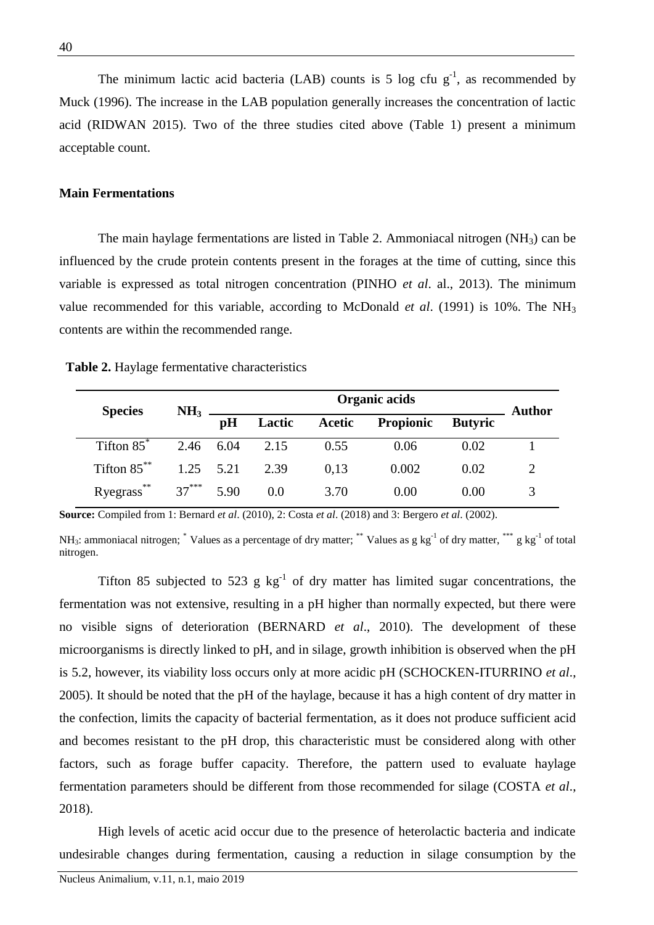The minimum lactic acid bacteria (LAB) counts is 5 log cfu  $g^{-1}$ , as recommended by Muck (1996). The increase in the LAB population generally increases the concentration of lactic acid (RIDWAN 2015). Two of the three studies cited above (Table 1) present a minimum acceptable count.

### **Main Fermentations**

The main haylage fermentations are listed in Table 2. Ammoniacal nitrogen  $(NH_3)$  can be influenced by the crude protein contents present in the forages at the time of cutting, since this variable is expressed as total nitrogen concentration (PINHO *et al*. al., 2013). The minimum value recommended for this variable, according to McDonald *et al*. (1991) is 10%. The NH<sup>3</sup> contents are within the recommended range.

 **Table 2.** Haylage fermentative characteristics

| <b>Species</b>                | NH <sub>3</sub> |    | Author         |        |           |                |  |
|-------------------------------|-----------------|----|----------------|--------|-----------|----------------|--|
|                               |                 | pH | Lactic         | Acetic | Propionic | <b>Butyric</b> |  |
| Tifton $85^*$                 |                 |    | 2.46 6.04 2.15 | 0.55   | 0.06      | 0.02           |  |
| Tifton $85$ <sup>**</sup>     | $1.25$ $5.21$   |    | 2.39           | 0.13   | 0.002     | 0.02           |  |
| **<br>Ryegrass <sup>***</sup> | $37***$ 5.90    |    | 0.0            | 3.70   | 0.00      | 0.00           |  |

**Source:** Compiled from 1: Bernard *et al*. (2010), 2: Costa *et al*. (2018) and 3: Bergero *et al*. (2002).

NH<sub>3</sub>: ammoniacal nitrogen;  $^*$  Values as a percentage of dry matter;  $^{**}$  Values as g kg<sup>-1</sup> of dry matter,  $^{***}$  g kg<sup>-1</sup> of total nitrogen.

Tifton 85 subjected to 523 g  $kg^{-1}$  of dry matter has limited sugar concentrations, the fermentation was not extensive, resulting in a pH higher than normally expected, but there were no visible signs of deterioration (BERNARD *et al*., 2010). The development of these microorganisms is directly linked to pH, and in silage, growth inhibition is observed when the pH is 5.2, however, its viability loss occurs only at more acidic pH (SCHOCKEN-ITURRINO *et al*., 2005). It should be noted that the pH of the haylage, because it has a high content of dry matter in the confection, limits the capacity of bacterial fermentation, as it does not produce sufficient acid and becomes resistant to the pH drop, this characteristic must be considered along with other factors, such as forage buffer capacity. Therefore, the pattern used to evaluate haylage fermentation parameters should be different from those recommended for silage (COSTA *et al*., 2018).

High levels of acetic acid occur due to the presence of heterolactic bacteria and indicate undesirable changes during fermentation, causing a reduction in silage consumption by the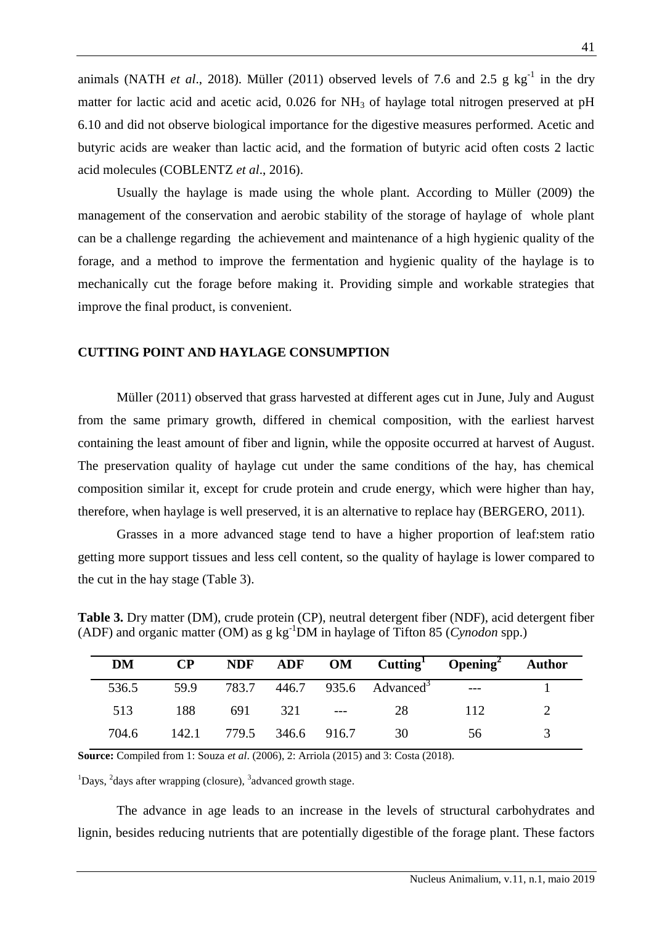animals (NATH *et al.*, 2018). Müller (2011) observed levels of 7.6 and 2.5 g  $kg^{-1}$  in the dry matter for lactic acid and acetic acid,  $0.026$  for  $NH<sub>3</sub>$  of haylage total nitrogen preserved at pH 6.10 and did not observe biological importance for the digestive measures performed. Acetic and butyric acids are weaker than lactic acid, and the formation of butyric acid often costs 2 lactic acid molecules (COBLENTZ *et al*., 2016).

Usually the haylage is made using the whole plant. According to Müller (2009) the management of the conservation and aerobic stability of the storage of haylage of whole plant can be a challenge regarding the achievement and maintenance of a high hygienic quality of the forage, and a method to improve the fermentation and hygienic quality of the haylage is to mechanically cut the forage before making it. Providing simple and workable strategies that improve the final product, is convenient.

### **CUTTING POINT AND HAYLAGE CONSUMPTION**

Müller (2011) observed that grass harvested at different ages cut in June, July and August from the same primary growth, differed in chemical composition, with the earliest harvest containing the least amount of fiber and lignin, while the opposite occurred at harvest of August. The preservation quality of haylage cut under the same conditions of the hay, has chemical composition similar it, except for crude protein and crude energy, which were higher than hay, therefore, when haylage is well preserved, it is an alternative to replace hay (BERGERO, 2011).

Grasses in a more advanced stage tend to have a higher proportion of leaf:stem ratio getting more support tissues and less cell content, so the quality of haylage is lower compared to the cut in the hay stage (Table 3).

**Table 3.** Dry matter (DM), crude protein (CP), neutral detergent fiber (NDF), acid detergent fiber (ADF) and organic matter (OM) as g kg-1DM in haylage of Tifton 85 (*Cynodon* spp.)

| DM    | $\bf CP$ |                         |             | NDF ADF OM Cutting Opening Author            |     |  |
|-------|----------|-------------------------|-------------|----------------------------------------------|-----|--|
| 536.5 |          |                         |             | 59.9 783.7 446.7 935.6 Advanced <sup>3</sup> |     |  |
| 513   | 188      |                         | 691 321 --- | 28                                           | 112 |  |
| 704.6 |          | 142.1 779.5 346.6 916.7 |             | 30                                           | 56. |  |

**Source:** Compiled from 1: Souza *et al*. (2006), 2: Arriola (2015) and 3: Costa (2018).

 $1$ Days,  $2$ days after wrapping (closure),  $3$ advanced growth stage.

The advance in age leads to an increase in the levels of structural carbohydrates and lignin, besides reducing nutrients that are potentially digestible of the forage plant. These factors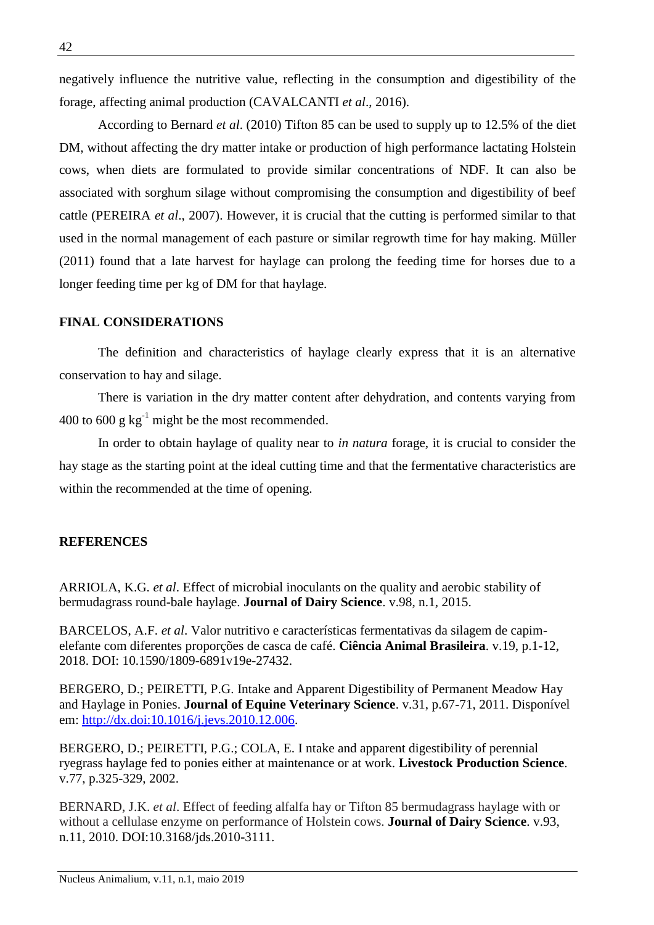negatively influence the nutritive value, reflecting in the consumption and digestibility of the forage, affecting animal production (CAVALCANTI *et al*., 2016).

According to Bernard *et al*. (2010) Tifton 85 can be used to supply up to 12.5% of the diet DM, without affecting the dry matter intake or production of high performance lactating Holstein cows, when diets are formulated to provide similar concentrations of NDF. It can also be associated with sorghum silage without compromising the consumption and digestibility of beef cattle (PEREIRA *et al*., 2007). However, it is crucial that the cutting is performed similar to that used in the normal management of each pasture or similar regrowth time for hay making. Müller (2011) found that a late harvest for haylage can prolong the feeding time for horses due to a longer feeding time per kg of DM for that haylage.

### **FINAL CONSIDERATIONS**

The definition and characteristics of haylage clearly express that it is an alternative conservation to hay and silage.

There is variation in the dry matter content after dehydration, and contents varying from 400 to 600 g  $kg^{-1}$  might be the most recommended.

In order to obtain haylage of quality near to *in natura* forage, it is crucial to consider the hay stage as the starting point at the ideal cutting time and that the fermentative characteristics are within the recommended at the time of opening.

### **REFERENCES**

ARRIOLA, K.G. *et al*. Effect of microbial inoculants on the quality and aerobic stability of bermudagrass round-bale haylage. **Journal of Dairy Science**. v.98, n.1, 2015.

BARCELOS, A.F. *et al*. Valor nutritivo e características fermentativas da silagem de capimelefante com diferentes proporções de casca de café. **Ciência Animal Brasileira**. v.19, p.1-12, 2018. DOI: 10.1590/1809-6891v19e-27432.

BERGERO, D.; PEIRETTI, P.G. Intake and Apparent Digestibility of Permanent Meadow Hay and Haylage in Ponies. **Journal of Equine Veterinary Science**. v.31, p.67-71, 2011. Disponível em: [http://dx.doi:10.1016/j.jevs.2010.12.006.](http://dx.doi:10.1016/j.jevs.2010.12.006)

BERGERO, D.; PEIRETTI, P.G.; COLA, E. I ntake and apparent digestibility of perennial ryegrass haylage fed to ponies either at maintenance or at work. **Livestock Production Science**. v.77, p.325-329, 2002.

BERNARD, J.K. *et al*. Effect of feeding alfalfa hay or Tifton 85 bermudagrass haylage with or without a cellulase enzyme on performance of Holstein cows. **Journal of Dairy Science**. v.93, n.11, 2010. DOI:10.3168/jds.2010-3111.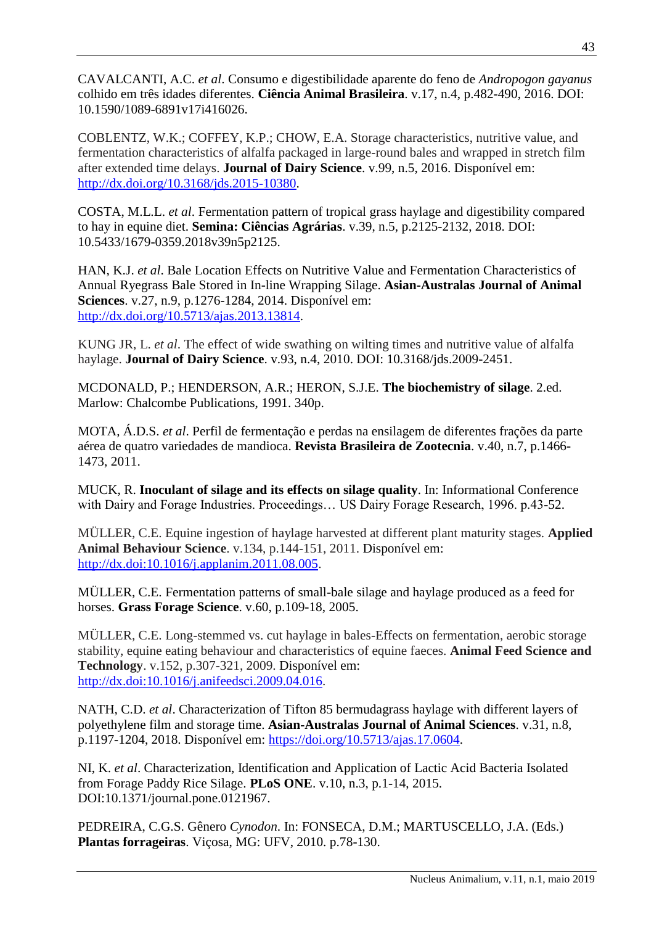CAVALCANTI, A.C. *et al*. Consumo e digestibilidade aparente do feno de *Andropogon gayanus* colhido em três idades diferentes. **Ciência Animal Brasileira**. v.17, n.4, p.482-490, 2016. DOI: 10.1590/1089-6891v17i416026.

COBLENTZ, W.K.; COFFEY, K.P.; CHOW, E.A. Storage characteristics, nutritive value, and fermentation characteristics of alfalfa packaged in large-round bales and wrapped in stretch film after extended time delays. **Journal of Dairy Science**. v.99, n.5, 2016. Disponível em: [http://dx.doi.org/10.3168/jds.2015-10380.](http://dx.doi.org/10.3168/jds.2015-10380)

COSTA, M.L.L. *et al*. Fermentation pattern of tropical grass haylage and digestibility compared to hay in equine diet. **Semina: Ciências Agrárias**. v.39, n.5, p.2125-2132, 2018. DOI: 10.5433/1679-0359.2018v39n5p2125.

HAN, K.J. *et al*. Bale Location Effects on Nutritive Value and Fermentation Characteristics of Annual Ryegrass Bale Stored in In-line Wrapping Silage. **Asian-Australas Journal of Animal Sciences**. v.27, n.9, p.1276-1284, 2014. Disponível em: [http://dx.doi.org/10.5713/ajas.2013.13814.](http://dx.doi.org/10.5713/ajas.2013.13814)

KUNG JR, L. *et al*. The effect of wide swathing on wilting times and nutritive value of alfalfa haylage. **Journal of Dairy Science**. v.93, n.4, 2010. DOI: 10.3168/jds.2009-2451.

MCDONALD, P.; HENDERSON, A.R.; HERON, S.J.E. **The biochemistry of silage**. 2.ed. Marlow: Chalcombe Publications, 1991. 340p.

MOTA, Á.D.S. *et al*. Perfil de fermentação e perdas na ensilagem de diferentes frações da parte aérea de quatro variedades de mandioca. **Revista Brasileira de Zootecnia**. v.40, n.7, p.1466- 1473, 2011.

MUCK, R. **Inoculant of silage and its effects on silage quality**. In: Informational Conference with Dairy and Forage Industries. Proceedings… US Dairy Forage Research, 1996. p.43-52.

MÜLLER, C.E. Equine ingestion of haylage harvested at different plant maturity stages. **Applied Animal Behaviour Science**. v.134, p.144-151, 2011. Disponível em: [http://dx.doi:10.1016/j.applanim.2011.08.005.](http://dx.doi:10.1016/j.applanim.2011.08.005)

MÜLLER, C.E. Fermentation patterns of small-bale silage and haylage produced as a feed for horses. **Grass Forage Science**. v.60, p.109-18, 2005.

MÜLLER, C.E. Long-stemmed vs. cut haylage in bales-Effects on fermentation, aerobic storage stability, equine eating behaviour and characteristics of equine faeces. **Animal Feed Science and Technology**. v.152, p.307-321, 2009. Disponível em: [http://dx.doi:10.1016/j.anifeedsci.2009.04.016.](http://dx.doi:10.1016/j.anifeedsci.2009.04.016)

NATH, C.D. *et al*. Characterization of Tifton 85 bermudagrass haylage with different layers of polyethylene film and storage time. **Asian-Australas Journal of Animal Sciences**. v.31, n.8, p.1197-1204, 2018. Disponível em: [https://doi.org/10.5713/ajas.17.0604.](https://doi.org/10.5713/ajas.17.0604)

NI, K. *et al*. Characterization, Identification and Application of Lactic Acid Bacteria Isolated from Forage Paddy Rice Silage. **PLoS ONE**. v.10, n.3, p.1-14, 2015. DOI:10.1371/journal.pone.0121967.

PEDREIRA, C.G.S. Gênero *Cynodon*. In: FONSECA, D.M.; MARTUSCELLO, J.A. (Eds.) **Plantas forrageiras**. Viçosa, MG: UFV, 2010. p.78-130.